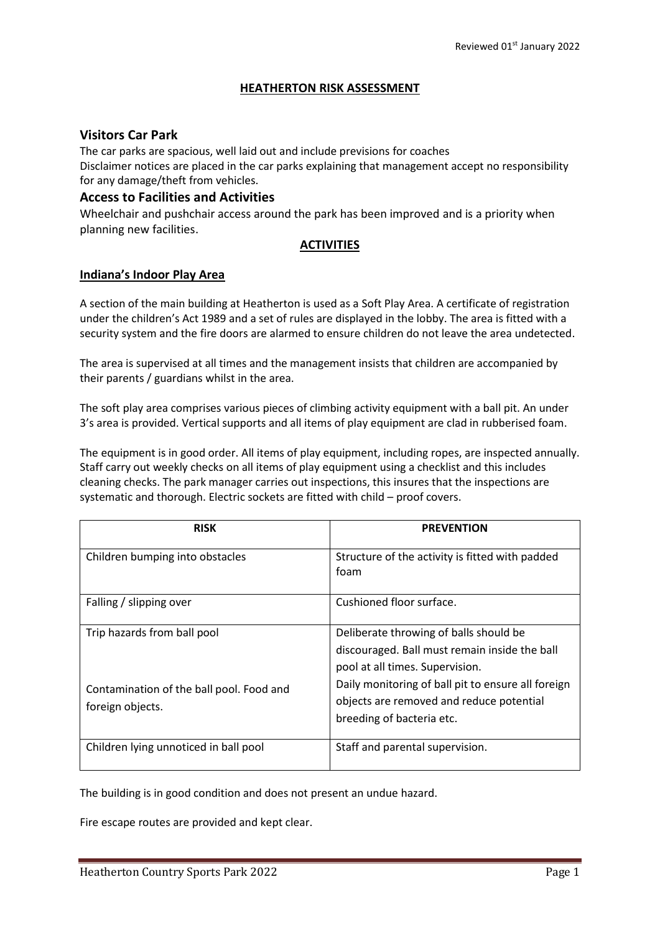### **HEATHERTON RISK ASSESSMENT**

### **Visitors Car Park**

The car parks are spacious, well laid out and include previsions for coaches Disclaimer notices are placed in the car parks explaining that management accept no responsibility for any damage/theft from vehicles.

### **Access to Facilities and Activities**

Wheelchair and pushchair access around the park has been improved and is a priority when planning new facilities.

### **ACTIVITIES**

### **Indiana's Indoor Play Area**

A section of the main building at Heatherton is used as a Soft Play Area. A certificate of registration under the children's Act 1989 and a set of rules are displayed in the lobby. The area is fitted with a security system and the fire doors are alarmed to ensure children do not leave the area undetected.

The area is supervised at all times and the management insists that children are accompanied by their parents / guardians whilst in the area.

The soft play area comprises various pieces of climbing activity equipment with a ball pit. An under 3's area is provided. Vertical supports and all items of play equipment are clad in rubberised foam.

The equipment is in good order. All items of play equipment, including ropes, are inspected annually. Staff carry out weekly checks on all items of play equipment using a checklist and this includes cleaning checks. The park manager carries out inspections, this insures that the inspections are systematic and thorough. Electric sockets are fitted with child – proof covers.

| <b>RISK</b>                                                                                 | <b>PREVENTION</b>                                                                                                                                                                                                                                         |
|---------------------------------------------------------------------------------------------|-----------------------------------------------------------------------------------------------------------------------------------------------------------------------------------------------------------------------------------------------------------|
| Children bumping into obstacles                                                             | Structure of the activity is fitted with padded<br>foam                                                                                                                                                                                                   |
| Falling / slipping over                                                                     | Cushioned floor surface.                                                                                                                                                                                                                                  |
| Trip hazards from ball pool<br>Contamination of the ball pool. Food and<br>foreign objects. | Deliberate throwing of balls should be<br>discouraged. Ball must remain inside the ball<br>pool at all times. Supervision.<br>Daily monitoring of ball pit to ensure all foreign<br>objects are removed and reduce potential<br>breeding of bacteria etc. |
| Children lying unnoticed in ball pool                                                       | Staff and parental supervision.                                                                                                                                                                                                                           |

The building is in good condition and does not present an undue hazard.

Fire escape routes are provided and kept clear.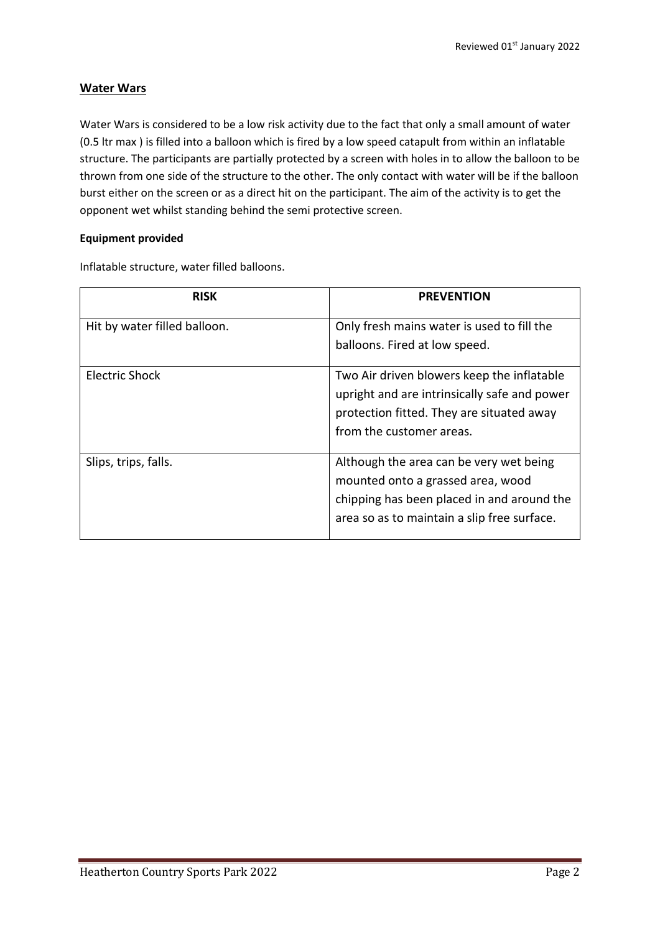# **Water Wars**

Water Wars is considered to be a low risk activity due to the fact that only a small amount of water (0.5 ltr max ) is filled into a balloon which is fired by a low speed catapult from within an inflatable structure. The participants are partially protected by a screen with holes in to allow the balloon to be thrown from one side of the structure to the other. The only contact with water will be if the balloon burst either on the screen or as a direct hit on the participant. The aim of the activity is to get the opponent wet whilst standing behind the semi protective screen.

### **Equipment provided**

Inflatable structure, water filled balloons.

| <b>RISK</b>                  | <b>PREVENTION</b>                            |
|------------------------------|----------------------------------------------|
| Hit by water filled balloon. | Only fresh mains water is used to fill the   |
|                              | balloons. Fired at low speed.                |
| Electric Shock               | Two Air driven blowers keep the inflatable   |
|                              | upright and are intrinsically safe and power |
|                              | protection fitted. They are situated away    |
|                              | from the customer areas.                     |
| Slips, trips, falls.         | Although the area can be very wet being      |
|                              | mounted onto a grassed area, wood            |
|                              | chipping has been placed in and around the   |
|                              | area so as to maintain a slip free surface.  |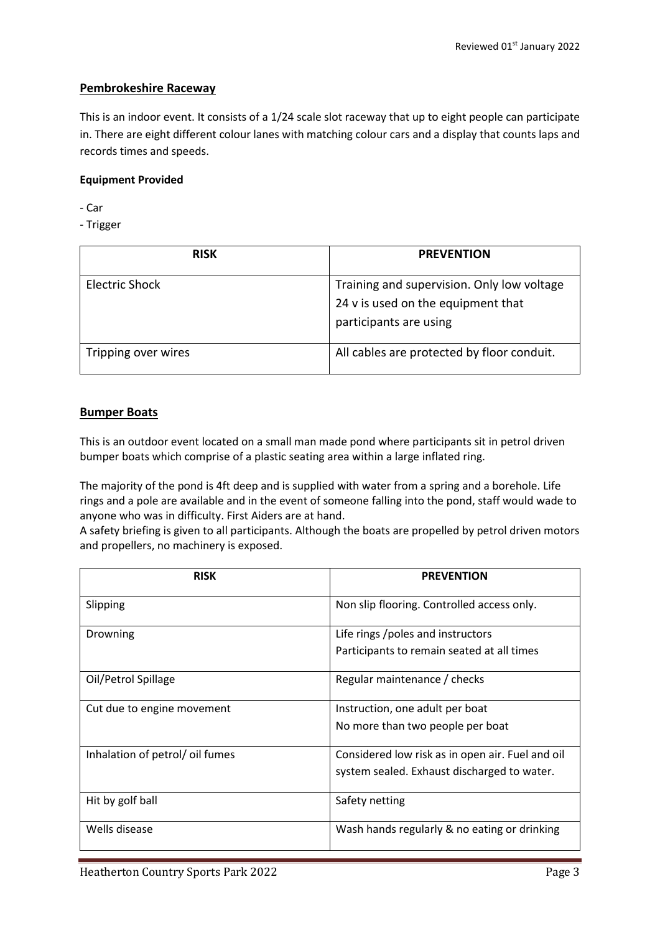# **Pembrokeshire Raceway**

This is an indoor event. It consists of a 1/24 scale slot raceway that up to eight people can participate in. There are eight different colour lanes with matching colour cars and a display that counts laps and records times and speeds.

### **Equipment Provided**

- Car

- Trigger

| <b>RISK</b>           | <b>PREVENTION</b>                          |
|-----------------------|--------------------------------------------|
| <b>Electric Shock</b> | Training and supervision. Only low voltage |
|                       | 24 v is used on the equipment that         |
|                       | participants are using                     |
| Tripping over wires   | All cables are protected by floor conduit. |

### **Bumper Boats**

This is an outdoor event located on a small man made pond where participants sit in petrol driven bumper boats which comprise of a plastic seating area within a large inflated ring.

The majority of the pond is 4ft deep and is supplied with water from a spring and a borehole. Life rings and a pole are available and in the event of someone falling into the pond, staff would wade to anyone who was in difficulty. First Aiders are at hand.

A safety briefing is given to all participants. Although the boats are propelled by petrol driven motors and propellers, no machinery is exposed.

| <b>RISK</b>                     | <b>PREVENTION</b>                                |
|---------------------------------|--------------------------------------------------|
| Slipping                        | Non slip flooring. Controlled access only.       |
| Drowning                        | Life rings / poles and instructors               |
|                                 | Participants to remain seated at all times       |
| Oil/Petrol Spillage             | Regular maintenance / checks                     |
| Cut due to engine movement      | Instruction, one adult per boat                  |
|                                 | No more than two people per boat                 |
| Inhalation of petrol/ oil fumes | Considered low risk as in open air. Fuel and oil |
|                                 | system sealed. Exhaust discharged to water.      |
| Hit by golf ball                | Safety netting                                   |
| Wells disease                   | Wash hands regularly & no eating or drinking     |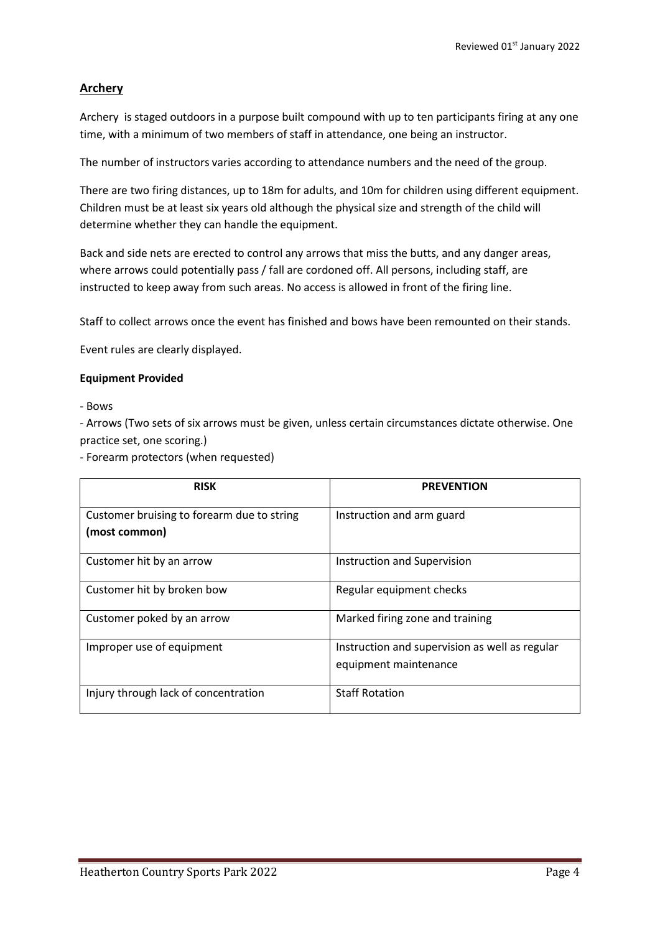## **Archery**

Archery is staged outdoors in a purpose built compound with up to ten participants firing at any one time, with a minimum of two members of staff in attendance, one being an instructor.

The number of instructors varies according to attendance numbers and the need of the group.

There are two firing distances, up to 18m for adults, and 10m for children using different equipment. Children must be at least six years old although the physical size and strength of the child will determine whether they can handle the equipment.

Back and side nets are erected to control any arrows that miss the butts, and any danger areas, where arrows could potentially pass / fall are cordoned off. All persons, including staff, are instructed to keep away from such areas. No access is allowed in front of the firing line.

Staff to collect arrows once the event has finished and bows have been remounted on their stands.

Event rules are clearly displayed.

#### **Equipment Provided**

- Bows

- Arrows (Two sets of six arrows must be given, unless certain circumstances dictate otherwise. One practice set, one scoring.)

- Forearm protectors (when requested)

| <b>RISK</b>                                | <b>PREVENTION</b>                              |
|--------------------------------------------|------------------------------------------------|
| Customer bruising to forearm due to string | Instruction and arm guard                      |
| (most common)                              |                                                |
| Customer hit by an arrow                   | Instruction and Supervision                    |
| Customer hit by broken bow                 | Regular equipment checks                       |
| Customer poked by an arrow                 | Marked firing zone and training                |
| Improper use of equipment                  | Instruction and supervision as well as regular |
|                                            | equipment maintenance                          |
| Injury through lack of concentration       | <b>Staff Rotation</b>                          |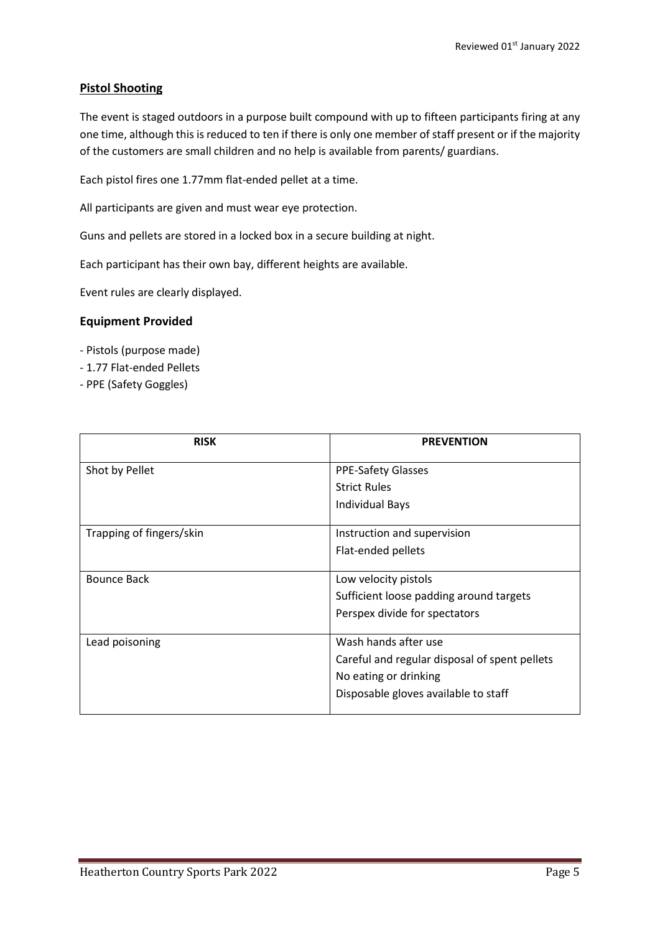# **Pistol Shooting**

The event is staged outdoors in a purpose built compound with up to fifteen participants firing at any one time, although this is reduced to ten if there is only one member of staff present or if the majority of the customers are small children and no help is available from parents/ guardians.

Each pistol fires one 1.77mm flat-ended pellet at a time.

All participants are given and must wear eye protection.

Guns and pellets are stored in a locked box in a secure building at night.

Each participant has their own bay, different heights are available.

Event rules are clearly displayed.

### **Equipment Provided**

- Pistols (purpose made)
- 1.77 Flat-ended Pellets
- PPE (Safety Goggles)

| <b>RISK</b>              | <b>PREVENTION</b>                             |
|--------------------------|-----------------------------------------------|
| Shot by Pellet           | <b>PPE-Safety Glasses</b>                     |
|                          | <b>Strict Rules</b>                           |
|                          | <b>Individual Bays</b>                        |
| Trapping of fingers/skin | Instruction and supervision                   |
|                          | Flat-ended pellets                            |
|                          |                                               |
| Bounce Back              | Low velocity pistols                          |
|                          | Sufficient loose padding around targets       |
|                          | Perspex divide for spectators                 |
|                          |                                               |
| Lead poisoning           | Wash hands after use                          |
|                          | Careful and regular disposal of spent pellets |
|                          | No eating or drinking                         |
|                          | Disposable gloves available to staff          |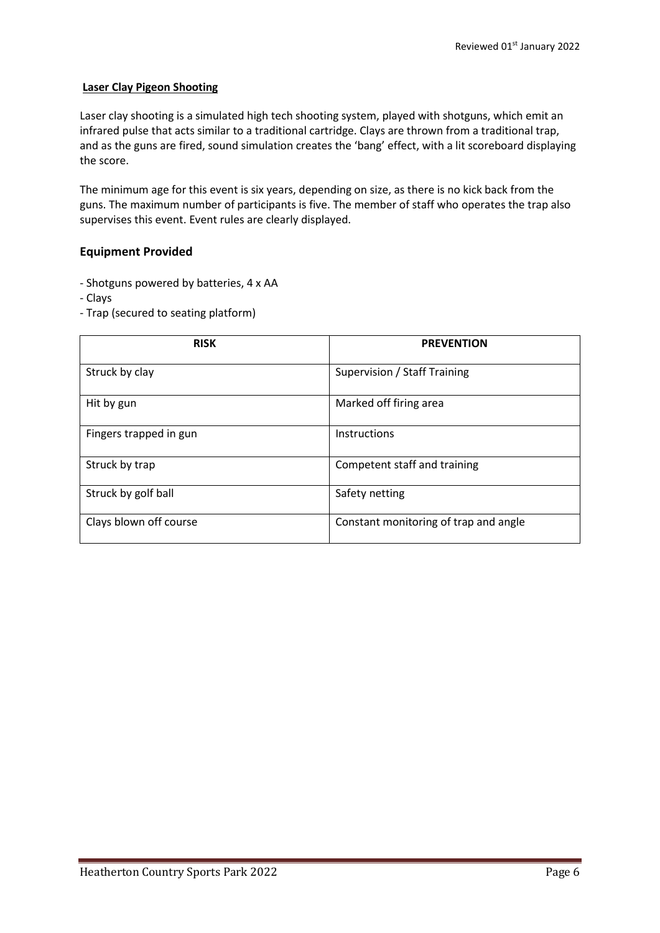#### **Laser Clay Pigeon Shooting**

Laser clay shooting is a simulated high tech shooting system, played with shotguns, which emit an infrared pulse that acts similar to a traditional cartridge. Clays are thrown from a traditional trap, and as the guns are fired, sound simulation creates the 'bang' effect, with a lit scoreboard displaying the score.

The minimum age for this event is six years, depending on size, as there is no kick back from the guns. The maximum number of participants is five. The member of staff who operates the trap also supervises this event. Event rules are clearly displayed.

### **Equipment Provided**

- Shotguns powered by batteries, 4 x AA
- Clays
- Trap (secured to seating platform)

| <b>RISK</b>            | <b>PREVENTION</b>                     |
|------------------------|---------------------------------------|
| Struck by clay         | Supervision / Staff Training          |
| Hit by gun             | Marked off firing area                |
| Fingers trapped in gun | <b>Instructions</b>                   |
| Struck by trap         | Competent staff and training          |
| Struck by golf ball    | Safety netting                        |
| Clays blown off course | Constant monitoring of trap and angle |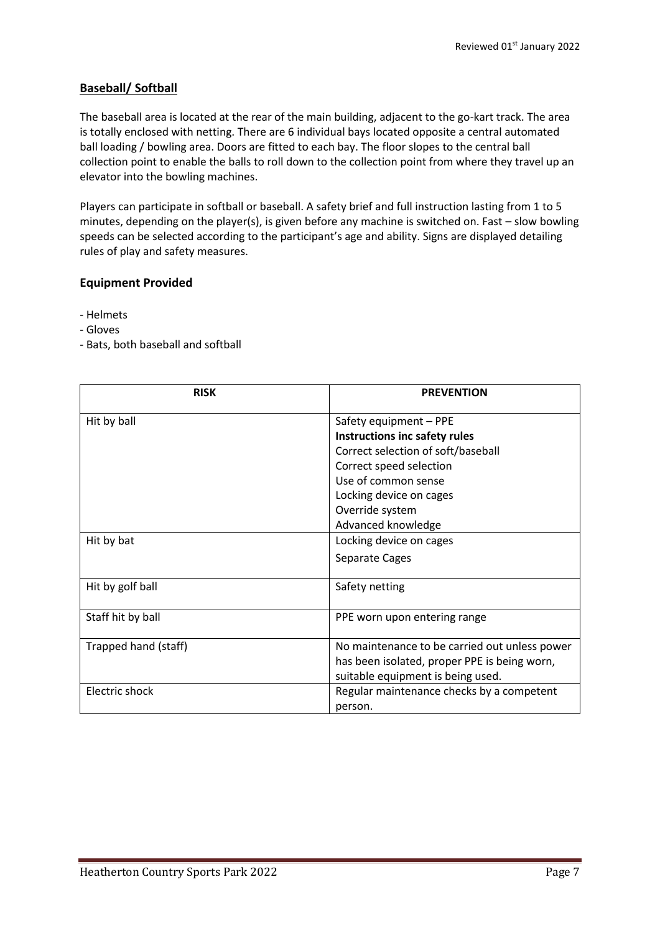# **Baseball/ Softball**

The baseball area is located at the rear of the main building, adjacent to the go-kart track. The area is totally enclosed with netting. There are 6 individual bays located opposite a central automated ball loading / bowling area. Doors are fitted to each bay. The floor slopes to the central ball collection point to enable the balls to roll down to the collection point from where they travel up an elevator into the bowling machines.

Players can participate in softball or baseball. A safety brief and full instruction lasting from 1 to 5 minutes, depending on the player(s), is given before any machine is switched on. Fast – slow bowling speeds can be selected according to the participant's age and ability. Signs are displayed detailing rules of play and safety measures.

### **Equipment Provided**

- Helmets
- Gloves
- Bats, both baseball and softball

| <b>RISK</b>          | <b>PREVENTION</b>                             |
|----------------------|-----------------------------------------------|
| Hit by ball          | Safety equipment - PPE                        |
|                      | Instructions inc safety rules                 |
|                      | Correct selection of soft/baseball            |
|                      | Correct speed selection                       |
|                      | Use of common sense                           |
|                      | Locking device on cages                       |
|                      | Override system                               |
|                      | Advanced knowledge                            |
| Hit by bat           | Locking device on cages                       |
|                      | Separate Cages                                |
| Hit by golf ball     | Safety netting                                |
| Staff hit by ball    | PPE worn upon entering range                  |
| Trapped hand (staff) | No maintenance to be carried out unless power |
|                      | has been isolated, proper PPE is being worn,  |
|                      | suitable equipment is being used.             |
| Electric shock       | Regular maintenance checks by a competent     |
|                      | person.                                       |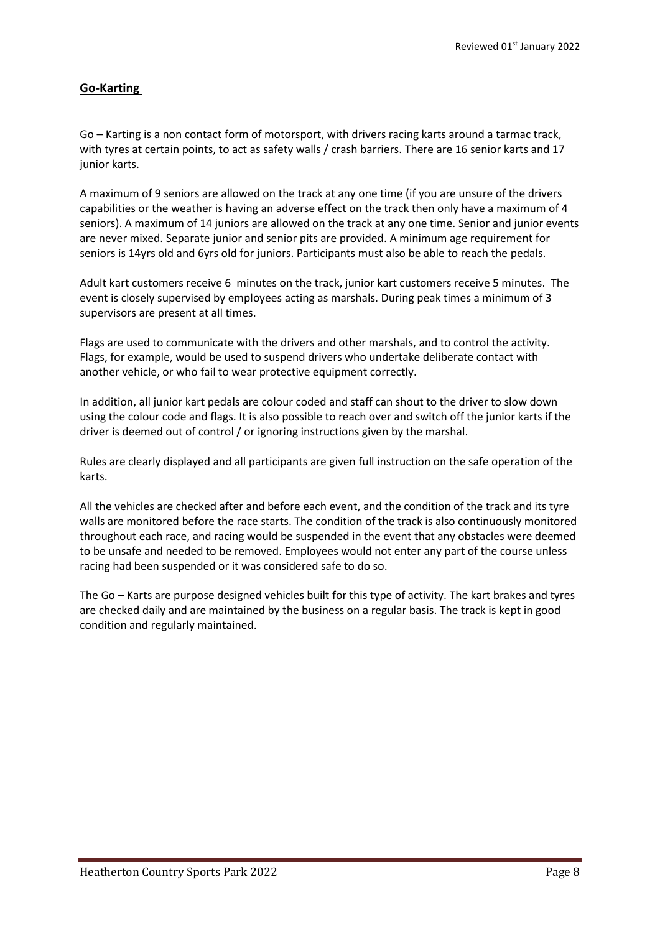# **Go-Karting**

Go – Karting is a non contact form of motorsport, with drivers racing karts around a tarmac track, with tyres at certain points, to act as safety walls / crash barriers. There are 16 senior karts and 17 junior karts.

A maximum of 9 seniors are allowed on the track at any one time (if you are unsure of the drivers capabilities or the weather is having an adverse effect on the track then only have a maximum of 4 seniors). A maximum of 14 juniors are allowed on the track at any one time. Senior and junior events are never mixed. Separate junior and senior pits are provided. A minimum age requirement for seniors is 14yrs old and 6yrs old for juniors. Participants must also be able to reach the pedals.

Adult kart customers receive 6 minutes on the track, junior kart customers receive 5 minutes. The event is closely supervised by employees acting as marshals. During peak times a minimum of 3 supervisors are present at all times.

Flags are used to communicate with the drivers and other marshals, and to control the activity. Flags, for example, would be used to suspend drivers who undertake deliberate contact with another vehicle, or who fail to wear protective equipment correctly.

In addition, all junior kart pedals are colour coded and staff can shout to the driver to slow down using the colour code and flags. It is also possible to reach over and switch off the junior karts if the driver is deemed out of control / or ignoring instructions given by the marshal.

Rules are clearly displayed and all participants are given full instruction on the safe operation of the karts.

All the vehicles are checked after and before each event, and the condition of the track and its tyre walls are monitored before the race starts. The condition of the track is also continuously monitored throughout each race, and racing would be suspended in the event that any obstacles were deemed to be unsafe and needed to be removed. Employees would not enter any part of the course unless racing had been suspended or it was considered safe to do so.

The Go – Karts are purpose designed vehicles built for this type of activity. The kart brakes and tyres are checked daily and are maintained by the business on a regular basis. The track is kept in good condition and regularly maintained.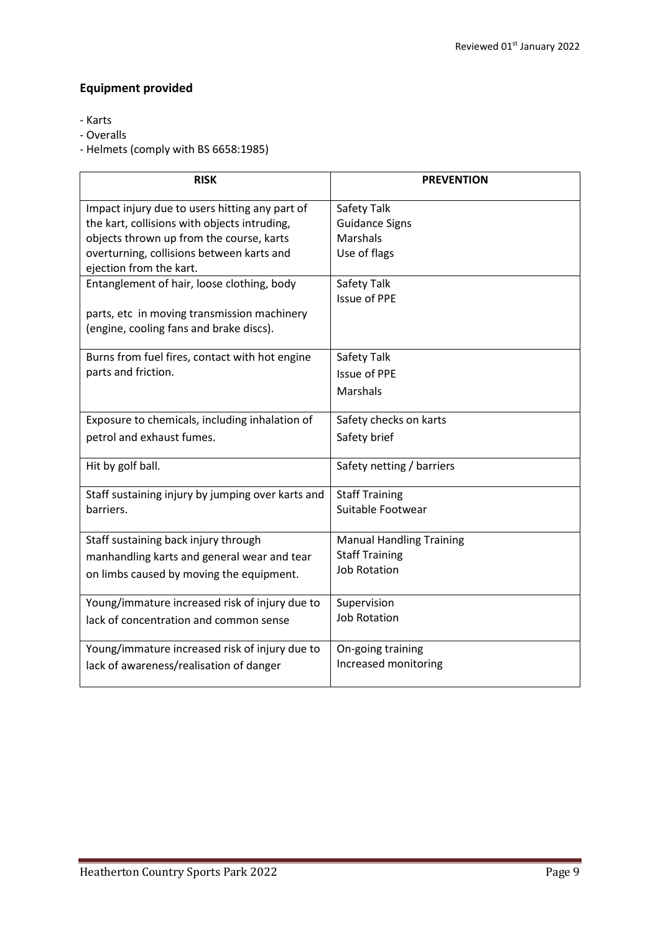# **Equipment provided**

- Karts
- Overalls
- Helmets (comply with BS 6658:1985)

| <b>RISK</b>                                       | <b>PREVENTION</b>                  |
|---------------------------------------------------|------------------------------------|
| Impact injury due to users hitting any part of    | Safety Talk                        |
| the kart, collisions with objects intruding,      | <b>Guidance Signs</b>              |
| objects thrown up from the course, karts          | <b>Marshals</b>                    |
| overturning, collisions between karts and         | Use of flags                       |
| ejection from the kart.                           |                                    |
| Entanglement of hair, loose clothing, body        | Safety Talk<br><b>Issue of PPE</b> |
| parts, etc in moving transmission machinery       |                                    |
| (engine, cooling fans and brake discs).           |                                    |
|                                                   |                                    |
| Burns from fuel fires, contact with hot engine    | Safety Talk                        |
| parts and friction.                               | <b>Issue of PPE</b>                |
|                                                   | <b>Marshals</b>                    |
|                                                   |                                    |
| Exposure to chemicals, including inhalation of    | Safety checks on karts             |
| petrol and exhaust fumes.                         | Safety brief                       |
|                                                   |                                    |
| Hit by golf ball.                                 | Safety netting / barriers          |
|                                                   |                                    |
| Staff sustaining injury by jumping over karts and | <b>Staff Training</b>              |
| barriers.                                         | Suitable Footwear                  |
| Staff sustaining back injury through              | <b>Manual Handling Training</b>    |
| manhandling karts and general wear and tear       | <b>Staff Training</b>              |
|                                                   | <b>Job Rotation</b>                |
| on limbs caused by moving the equipment.          |                                    |
| Young/immature increased risk of injury due to    | Supervision                        |
| lack of concentration and common sense            | <b>Job Rotation</b>                |
|                                                   |                                    |
| Young/immature increased risk of injury due to    | On-going training                  |
| lack of awareness/realisation of danger           | Increased monitoring               |
|                                                   |                                    |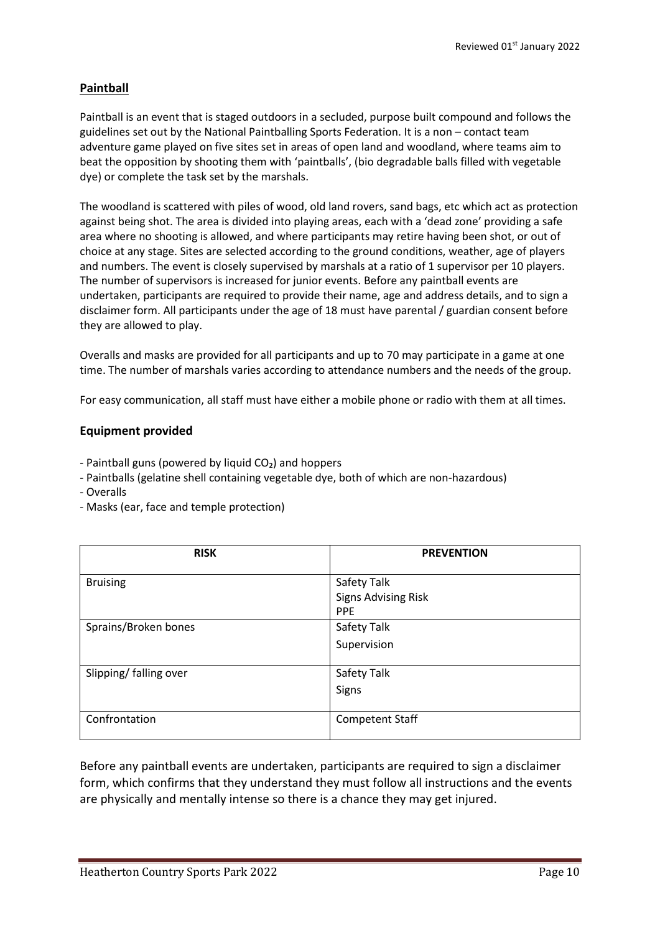# **Paintball**

Paintball is an event that is staged outdoors in a secluded, purpose built compound and follows the guidelines set out by the National Paintballing Sports Federation. It is a non – contact team adventure game played on five sites set in areas of open land and woodland, where teams aim to beat the opposition by shooting them with 'paintballs', (bio degradable balls filled with vegetable dye) or complete the task set by the marshals.

The woodland is scattered with piles of wood, old land rovers, sand bags, etc which act as protection against being shot. The area is divided into playing areas, each with a 'dead zone' providing a safe area where no shooting is allowed, and where participants may retire having been shot, or out of choice at any stage. Sites are selected according to the ground conditions, weather, age of players and numbers. The event is closely supervised by marshals at a ratio of 1 supervisor per 10 players. The number of supervisors is increased for junior events. Before any paintball events are undertaken, participants are required to provide their name, age and address details, and to sign a disclaimer form. All participants under the age of 18 must have parental / guardian consent before they are allowed to play.

Overalls and masks are provided for all participants and up to 70 may participate in a game at one time. The number of marshals varies according to attendance numbers and the needs of the group.

For easy communication, all staff must have either a mobile phone or radio with them at all times.

### **Equipment provided**

- $-$  Paintball guns (powered by liquid  $CO<sub>2</sub>$ ) and hoppers
- Paintballs (gelatine shell containing vegetable dye, both of which are non-hazardous)
- Overalls
- Masks (ear, face and temple protection)

| <b>RISK</b>            | <b>PREVENTION</b>                         |
|------------------------|-------------------------------------------|
| <b>Bruising</b>        | Safety Talk<br><b>Signs Advising Risk</b> |
|                        | <b>PPE</b>                                |
| Sprains/Broken bones   | Safety Talk                               |
|                        | Supervision                               |
| Slipping/ falling over | Safety Talk                               |
|                        | Signs                                     |
| Confrontation          | <b>Competent Staff</b>                    |

Before any paintball events are undertaken, participants are required to sign a disclaimer form, which confirms that they understand they must follow all instructions and the events are physically and mentally intense so there is a chance they may get injured.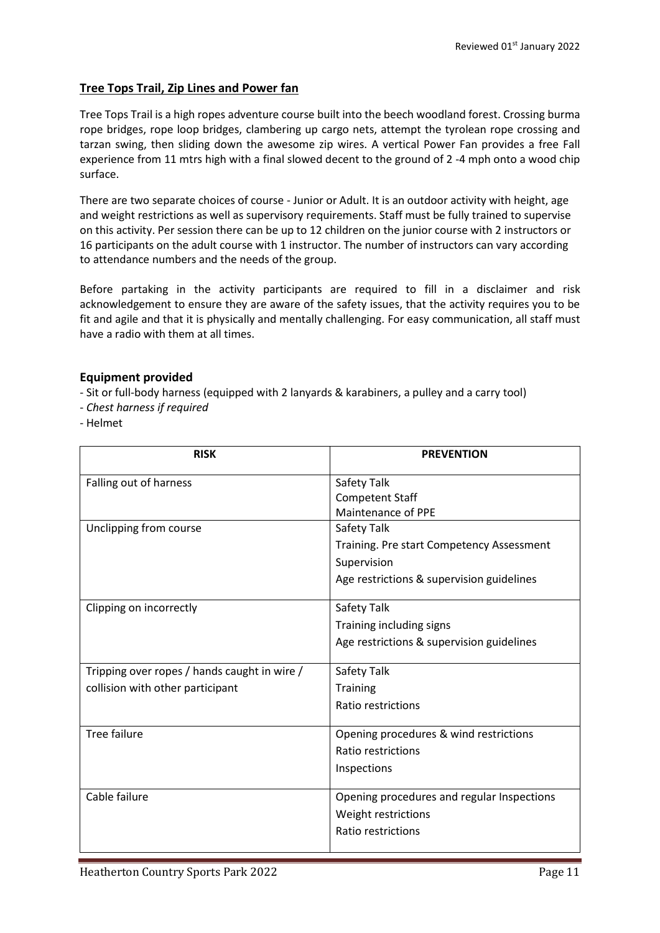### **Tree Tops Trail, Zip Lines and Power fan**

Tree Tops Trail is a high ropes adventure course built into the beech woodland forest. Crossing burma rope bridges, rope loop bridges, clambering up cargo nets, attempt the tyrolean rope crossing and tarzan swing, then sliding down the awesome zip wires. A vertical Power Fan provides a free Fall experience from 11 mtrs high with a final slowed decent to the ground of 2 -4 mph onto a wood chip surface.

There are two separate choices of course - Junior or Adult. It is an outdoor activity with height, age and weight restrictions as well as supervisory requirements. Staff must be fully trained to supervise on this activity. Per session there can be up to 12 children on the junior course with 2 instructors or 16 participants on the adult course with 1 instructor. The number of instructors can vary according to attendance numbers and the needs of the group.

Before partaking in the activity participants are required to fill in a disclaimer and risk acknowledgement to ensure they are aware of the safety issues, that the activity requires you to be fit and agile and that it is physically and mentally challenging. For easy communication, all staff must have a radio with them at all times.

### **Equipment provided**

- Sit or full-body harness (equipped with 2 lanyards & karabiners, a pulley and a carry tool)

- *Chest harness if required*

- Helmet

| <b>RISK</b>                                  | <b>PREVENTION</b>                          |
|----------------------------------------------|--------------------------------------------|
| Falling out of harness                       | Safety Talk                                |
|                                              | <b>Competent Staff</b>                     |
|                                              | Maintenance of PPE                         |
| Unclipping from course                       | Safety Talk                                |
|                                              | Training. Pre start Competency Assessment  |
|                                              | Supervision                                |
|                                              | Age restrictions & supervision guidelines  |
| Clipping on incorrectly                      | Safety Talk                                |
|                                              | Training including signs                   |
|                                              | Age restrictions & supervision guidelines  |
|                                              |                                            |
| Tripping over ropes / hands caught in wire / | Safety Talk                                |
| collision with other participant             | <b>Training</b>                            |
|                                              | Ratio restrictions                         |
|                                              |                                            |
| <b>Tree failure</b>                          | Opening procedures & wind restrictions     |
|                                              | Ratio restrictions                         |
|                                              | Inspections                                |
|                                              |                                            |
| Cable failure                                | Opening procedures and regular Inspections |
|                                              | Weight restrictions                        |
|                                              | Ratio restrictions                         |
|                                              |                                            |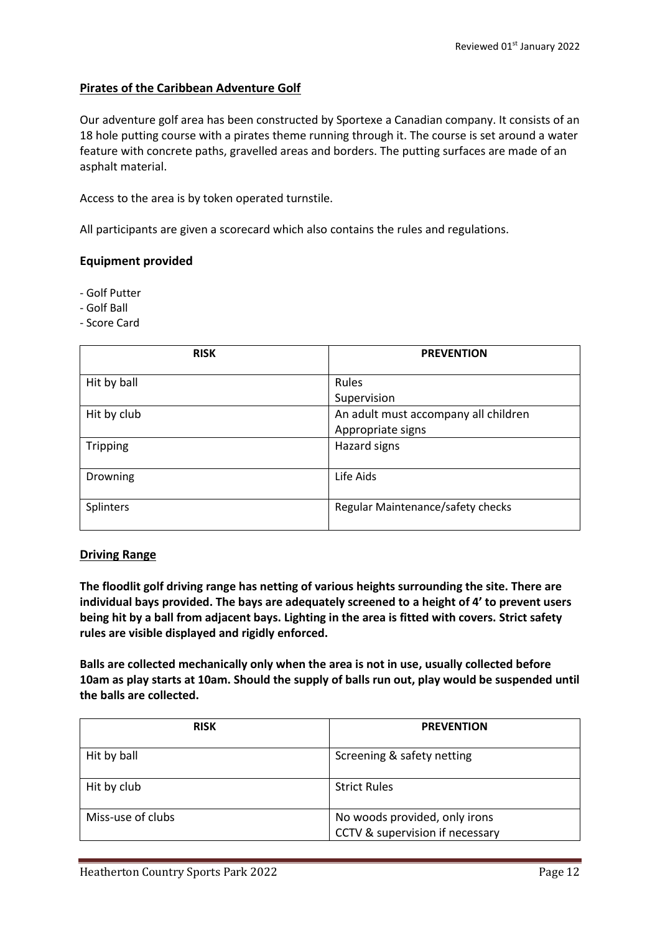### **Pirates of the Caribbean Adventure Golf**

Our adventure golf area has been constructed by Sportexe a Canadian company. It consists of an 18 hole putting course with a pirates theme running through it. The course is set around a water feature with concrete paths, gravelled areas and borders. The putting surfaces are made of an asphalt material.

Access to the area is by token operated turnstile.

All participants are given a scorecard which also contains the rules and regulations.

#### **Equipment provided**

- Golf Putter

- Golf Ball

- Score Card

| <b>RISK</b>     | <b>PREVENTION</b>                    |
|-----------------|--------------------------------------|
| Hit by ball     | Rules                                |
|                 | Supervision                          |
| Hit by club     | An adult must accompany all children |
|                 | Appropriate signs                    |
| <b>Tripping</b> | Hazard signs                         |
|                 |                                      |
| Drowning        | Life Aids                            |
|                 |                                      |
| Splinters       | Regular Maintenance/safety checks    |
|                 |                                      |

#### **Driving Range**

**The floodlit golf driving range has netting of various heights surrounding the site. There are individual bays provided. The bays are adequately screened to a height of 4' to prevent users being hit by a ball from adjacent bays. Lighting in the area is fitted with covers. Strict safety rules are visible displayed and rigidly enforced.**

**Balls are collected mechanically only when the area is not in use, usually collected before 10am as play starts at 10am. Should the supply of balls run out, play would be suspended until the balls are collected.**

| <b>RISK</b>       | <b>PREVENTION</b>                                                |
|-------------------|------------------------------------------------------------------|
| Hit by ball       | Screening & safety netting                                       |
| Hit by club       | <b>Strict Rules</b>                                              |
| Miss-use of clubs | No woods provided, only irons<br>CCTV & supervision if necessary |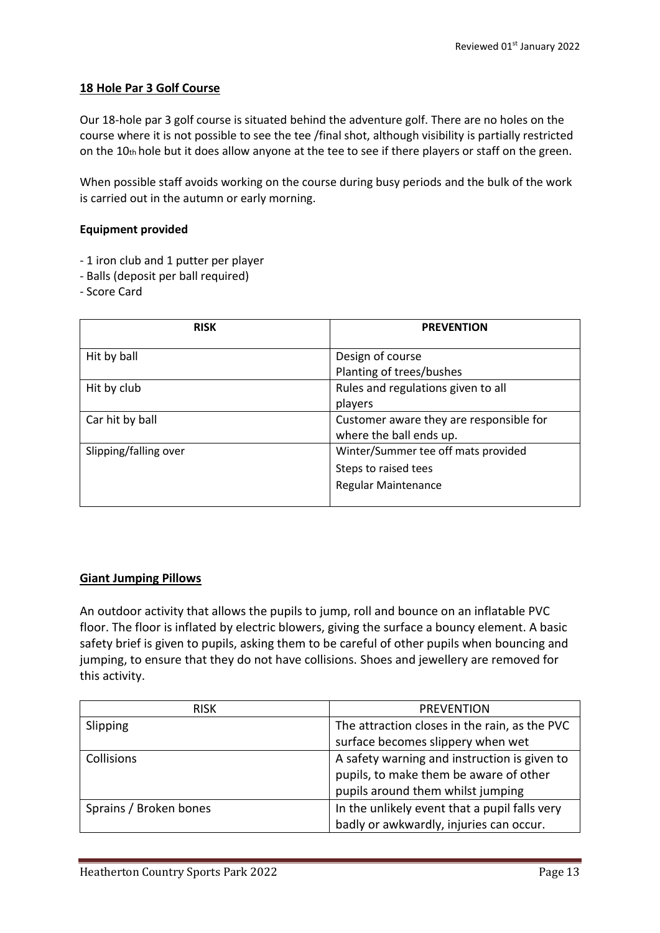### **18 Hole Par 3 Golf Course**

Our 18-hole par 3 golf course is situated behind the adventure golf. There are no holes on the course where it is not possible to see the tee /final shot, although visibility is partially restricted on the 10th hole but it does allow anyone at the tee to see if there players or staff on the green.

When possible staff avoids working on the course during busy periods and the bulk of the work is carried out in the autumn or early morning.

#### **Equipment provided**

- 1 iron club and 1 putter per player
- Balls (deposit per ball required)
- Score Card

| <b>RISK</b>           | <b>PREVENTION</b>                       |  |
|-----------------------|-----------------------------------------|--|
| Hit by ball           | Design of course                        |  |
|                       | Planting of trees/bushes                |  |
| Hit by club           | Rules and regulations given to all      |  |
|                       | players                                 |  |
| Car hit by ball       | Customer aware they are responsible for |  |
|                       | where the ball ends up.                 |  |
| Slipping/falling over | Winter/Summer tee off mats provided     |  |
|                       | Steps to raised tees                    |  |
|                       | <b>Regular Maintenance</b>              |  |
|                       |                                         |  |

### **Giant Jumping Pillows**

An outdoor activity that allows the pupils to jump, roll and bounce on an inflatable PVC floor. The floor is inflated by electric blowers, giving the surface a bouncy element. A basic safety brief is given to pupils, asking them to be careful of other pupils when bouncing and jumping, to ensure that they do not have collisions. Shoes and jewellery are removed for this activity.

| <b>RISK</b>            | <b>PREVENTION</b>                             |  |  |
|------------------------|-----------------------------------------------|--|--|
| Slipping               | The attraction closes in the rain, as the PVC |  |  |
|                        | surface becomes slippery when wet             |  |  |
| Collisions             | A safety warning and instruction is given to  |  |  |
|                        | pupils, to make them be aware of other        |  |  |
|                        | pupils around them whilst jumping             |  |  |
| Sprains / Broken bones | In the unlikely event that a pupil falls very |  |  |
|                        | badly or awkwardly, injuries can occur.       |  |  |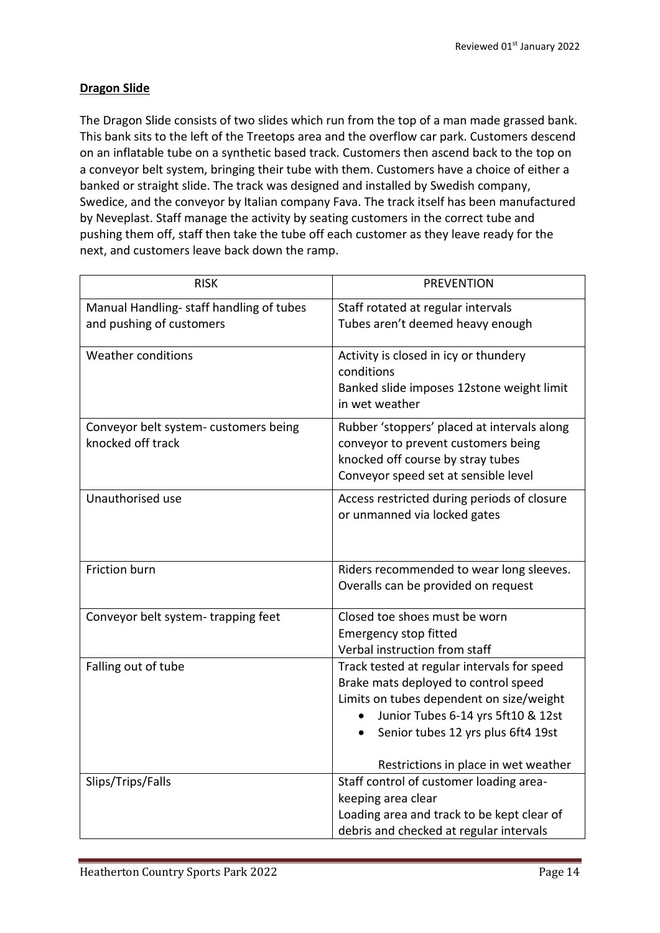# **Dragon Slide**

The Dragon Slide consists of two slides which run from the top of a man made grassed bank. This bank sits to the left of the Treetops area and the overflow car park. Customers descend on an inflatable tube on a synthetic based track. Customers then ascend back to the top on a conveyor belt system, bringing their tube with them. Customers have a choice of either a banked or straight slide. The track was designed and installed by Swedish company, Swedice, and the conveyor by Italian company Fava. The track itself has been manufactured by Neveplast. Staff manage the activity by seating customers in the correct tube and pushing them off, staff then take the tube off each customer as they leave ready for the next, and customers leave back down the ramp.

| <b>RISK</b>                                                | <b>PREVENTION</b>                                                                                                                                                                                                                                   |  |  |
|------------------------------------------------------------|-----------------------------------------------------------------------------------------------------------------------------------------------------------------------------------------------------------------------------------------------------|--|--|
| Manual Handling- staff handling of tubes                   | Staff rotated at regular intervals                                                                                                                                                                                                                  |  |  |
| and pushing of customers                                   | Tubes aren't deemed heavy enough                                                                                                                                                                                                                    |  |  |
| <b>Weather conditions</b>                                  | Activity is closed in icy or thundery<br>conditions<br>Banked slide imposes 12stone weight limit<br>in wet weather                                                                                                                                  |  |  |
| Conveyor belt system- customers being<br>knocked off track | Rubber 'stoppers' placed at intervals along<br>conveyor to prevent customers being<br>knocked off course by stray tubes<br>Conveyor speed set at sensible level                                                                                     |  |  |
| Unauthorised use                                           | Access restricted during periods of closure<br>or unmanned via locked gates                                                                                                                                                                         |  |  |
| Friction burn                                              | Riders recommended to wear long sleeves.<br>Overalls can be provided on request                                                                                                                                                                     |  |  |
| Conveyor belt system-trapping feet                         | Closed toe shoes must be worn<br><b>Emergency stop fitted</b><br>Verbal instruction from staff                                                                                                                                                      |  |  |
| Falling out of tube                                        | Track tested at regular intervals for speed<br>Brake mats deployed to control speed<br>Limits on tubes dependent on size/weight<br>Junior Tubes 6-14 yrs 5ft10 & 12st<br>Senior tubes 12 yrs plus 6ft4 19st<br>Restrictions in place in wet weather |  |  |
| Slips/Trips/Falls                                          | Staff control of customer loading area-<br>keeping area clear<br>Loading area and track to be kept clear of<br>debris and checked at regular intervals                                                                                              |  |  |